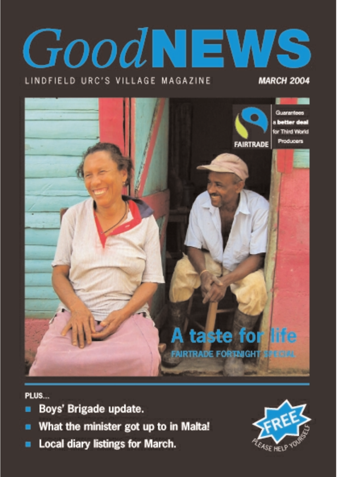# GoodN  $\equiv$

### LINDFIELD URC'S VILLAGE MAGAZINE

### **MARCH 2004**



PLUS...

- Boys' Brigade update.
- What the minister got up to in Malta!
- **Local diary listings for March.**

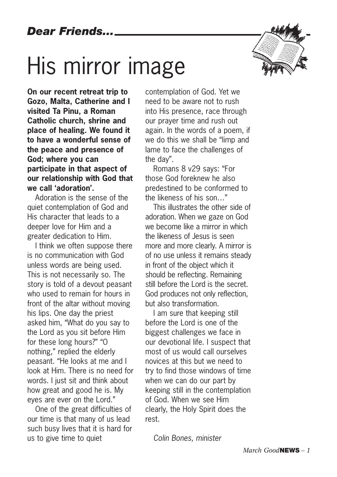# His mirror image



**On our recent retreat trip to Gozo, Malta, Catherine and I visited Ta Pinu, a Roman Catholic church, shrine and place of healing. We found it to have a wonderful sense of the peace and presence of God; where you can participate in that aspect of our relationship with God that we call 'adoration'.**

Adoration is the sense of the quiet contemplation of God and His character that leads to a deeper love for Him and a greater dedication to Him.

I think we often suppose there is no communication with God unless words are being used. This is not necessarily so. The story is told of a devout peasant who used to remain for hours in front of the altar without moving his lips. One day the priest asked him, "What do you say to the Lord as you sit before Him for these long hours?" "O nothing," replied the elderly peasant. "He looks at me and I look at Him. There is no need for words. I just sit and think about how great and good he is. My eyes are ever on the Lord."

One of the great difficulties of our time is that many of us lead such busy lives that it is hard for us to give time to quiet

contemplation of God. Yet we need to be aware not to rush into His presence, race through our prayer time and rush out again. In the words of a poem, if we do this we shall be "limp and lame to face the challenges of the day".

Romans 8 v29 says: "For those God foreknew he also predestined to be conformed to the likeness of his son…"

This illustrates the other side of adoration. When we gaze on God we become like a mirror in which the likeness of Jesus is seen more and more clearly. A mirror is of no use unless it remains steady in front of the object which it should be reflecting. Remaining still before the Lord is the secret. God produces not only reflection, but also transformation.

I am sure that keeping still before the Lord is one of the biggest challenges we face in our devotional life. I suspect that most of us would call ourselves novices at this but we need to try to find those windows of time when we can do our part by keeping still in the contemplation of God. When we see Him clearly, the Holy Spirit does the rest.

*Colin Bones, minister*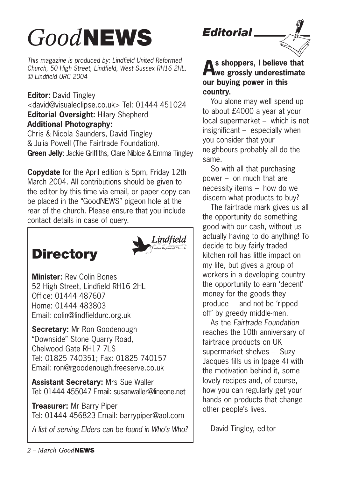# *Good***NEWS**

*This magazine is produced by: Lindfield United Reformed Church, 50 High Street, Lindfield, West Sussex RH16 2HL. © Lindfield URC 2004*

**Editor:** David Tingley <david@visualeclipse.co.uk> Tel: 01444 451024 **Editorial Oversight:** Hilary Shepherd **Additional Photography:** Chris & Nicola Saunders, David Tingley

& Julia Powell (The Fairtrade Foundation). **Green Jelly**: Jackie Griffiths, Clare Nibloe & Emma Tingley

**Copydate** for the April edition is 5pm, Friday 12th March 2004. All contributions should be given to the editor by this time via email, or paper copy can be placed in the "GoodNEWS" pigeon hole at the rear of the church. Please ensure that you include contact details in case of query.

### **Directory**



**Minister:** Rev Colin Bones 52 High Street, Lindfield RH16 2HL Office: 01444 487607 Home: 01444 483803 Email: colin@lindfieldurc.org.uk

**Secretary:** Mr Ron Goodenough "Downside" Stone Quarry Road, Chelwood Gate RH17 7LS Tel: 01825 740351; Fax: 01825 740157 Email: ron@rgoodenough.freeserve.co.uk

**Assistant Secretary:** Mrs Sue Waller Tel: 01444 455047 Email: susanwaller@lineone.net

**Treasurer:** Mr Barry Piper Tel: 01444 456823 Email: barrypiper@aol.com

*A list of serving Elders can be found in Who's Who?*





**As shoppers, I believe that we grossly underestimate our buying power in this country.** 

You alone may well spend up to about £4000 a year at your local supermarket – which is not insignificant – especially when you consider that your neighbours probably all do the same.

So with all that purchasing power – on much that are necessity items – how do we discern what products to buy?

The fairtrade mark gives us all the opportunity do something good with our cash, without us actually having to do anything! To decide to buy fairly traded kitchen roll has little impact on my life, but gives a group of workers in a developing country the opportunity to earn 'decent' money for the goods they produce – and not be 'ripped off' by greedy middle-men.

As the *Fairtrade Foundation* reaches the 10th anniversary of fairtrade products on UK supermarket shelves – Suzy Jacques fills us in (page 4) with the motivation behind it, some lovely recipes and, of course, how you can regularly get your hands on products that change other people's lives.

David Tingley, editor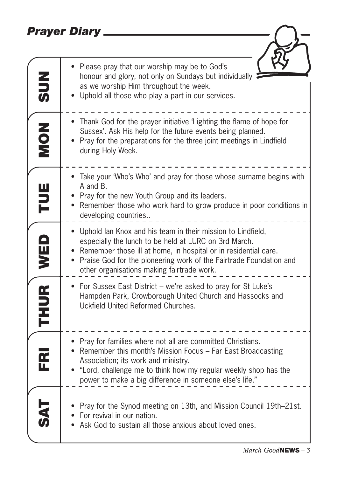### *Prayer Diary*

| <b>NUS</b>          | Please pray that our worship may be to God's<br>honour and glory, not only on Sundays but individually<br>as we worship Him throughout the week.                                                                                                                                                            |
|---------------------|-------------------------------------------------------------------------------------------------------------------------------------------------------------------------------------------------------------------------------------------------------------------------------------------------------------|
|                     | Uphold all those who play a part in our services.                                                                                                                                                                                                                                                           |
| ZON                 | • Thank God for the prayer initiative 'Lighting the flame of hope for<br>Sussex'. Ask His help for the future events being planned.<br>Pray for the preparations for the three joint meetings in Lindfield<br>during Holy Week.                                                                             |
|                     | Take your 'Who's Who' and pray for those whose surname begins with<br>A and B.                                                                                                                                                                                                                              |
| FUE                 | • Pray for the new Youth Group and its leaders.<br>Remember those who work hard to grow produce in poor conditions in<br>developing countries                                                                                                                                                               |
| WED                 | Uphold Ian Knox and his team in their mission to Lindfield,<br>especially the lunch to be held at LURC on 3rd March.<br>Remember those ill at home, in hospital or in residential care.<br>Praise God for the pioneering work of the Fairtrade Foundation and<br>other organisations making fairtrade work. |
| THUR                | For Sussex East District - we're asked to pray for St Luke's<br>Hampden Park, Crowborough United Church and Hassocks and<br>Uckfield United Reformed Churches.                                                                                                                                              |
| $\mathbf{\bar{r}}$  | • Pray for families where not all are committed Christians.<br>Remember this month's Mission Focus - Far East Broadcasting<br>Association; its work and ministry.<br>"Lord, challenge me to think how my regular weekly shop has the<br>power to make a big difference in someone else's life."             |
| $\overline{\Sigma}$ | Pray for the Synod meeting on 13th, and Mission Council 19th–21st.<br>• For revival in our nation.<br>Ask God to sustain all those anxious about loved ones.                                                                                                                                                |

 $-C$ 

 $) -$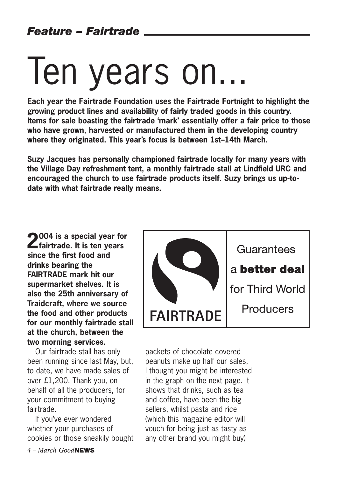# Ten years on...

**Each year the Fairtrade Foundation uses the Fairtrade Fortnight to highlight the growing product lines and availability of fairly traded goods in this country. Items for sale boasting the fairtrade 'mark' essentially offer a fair price to those who have grown, harvested or manufactured them in the developing country where they originated. This year's focus is between 1st–14th March.** 

**Suzy Jacques has personally championed fairtrade locally for many years with the Village Day refreshment tent, a monthly fairtrade stall at Lindfield URC and encouraged the church to use fairtrade products itself. Suzy brings us up-todate with what fairtrade really means.**

**2004 is a special year for fairtrade. It is ten years since the first food and drinks bearing the FAIRTRADE mark hit our supermarket shelves. It is also the 25th anniversary of Traidcraft, where we source the food and other products for our monthly fairtrade stall at the church, between the two morning services.**

Our fairtrade stall has only been running since last May, but, to date, we have made sales of over £1,200. Thank you, on behalf of all the producers, for your commitment to buying fairtrade.

If you've ever wondered whether your purchases of cookies or those sneakily bought



packets of chocolate covered peanuts make up half our sales, I thought you might be interested in the graph on the next page. It shows that drinks, such as tea and coffee, have been the big sellers, whilst pasta and rice (which this magazine editor will vouch for being just as tasty as any other brand you might buy)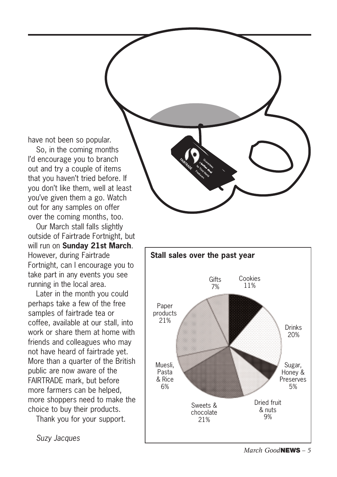have not been so popular.

So, in the coming months I'd encourage you to branch out and try a couple of items that you haven't tried before. If you don't like them, well at least you've given them a go. Watch out for any samples on offer over the coming months, too.

Our March stall falls slightly outside of Fairtrade Fortnight, but will run on **Sunday 21st March**. However, during Fairtrade Fortnight, can I encourage you to take part in any events you see running in the local area.

Later in the month you could perhaps take a few of the free samples of fairtrade tea or coffee, available at our stall, into work or share them at home with friends and colleagues who may not have heard of fairtrade yet. More than a quarter of the British public are now aware of the FAIRTRADE mark, but before more farmers can be helped, more shoppers need to make the choice to buy their products.

Thank you for your support.

*Suzy Jacques*

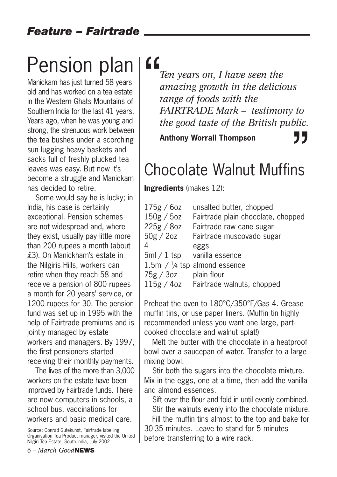## Pension plan

Manickam has just turned 58 years old and has worked on a tea estate in the Western Ghats Mountains of Southern India for the last 41 years. Years ago, when he was young and strong, the strenuous work between the tea bushes under a scorching sun lugging heavy baskets and sacks full of freshly plucked tea leaves was easy. But now it's become a struggle and Manickam has decided to retire.

Some would say he is lucky; in India, his case is certainly exceptional. Pension schemes are not widespread and, where they exist, usually pay little more than 200 rupees a month (about £3). On Manickham's estate in the Nilgiris Hills, workers can retire when they reach 58 and receive a pension of 800 rupees a month for 20 years' service, or 1200 rupees for 30. The pension fund was set up in 1995 with the help of Fairtrade premiums and is jointly managed by estate workers and managers. By 1997, the first pensioners started receiving their monthly payments.

The lives of the more than 3,000 workers on the estate have been improved by Fairtrade funds. There are now computers in schools, a school bus, vaccinations for workers and basic medical care.

*Ten years on, I have seen the amazing growth in the delicious range of foods with the FAIRTRADE Mark – testimony to the good taste of the British public.*

**Anthony Worrall Thompson**

# Anthony Worrall Thompson<br>
Chocolate Walnut Muffins

**Ingredients** (makes 12):

| 175g/6oz    | unsalted butter, chopped                 |
|-------------|------------------------------------------|
| 150g / 5oz  | Fairtrade plain chocolate, chopped       |
| 225g / 8oz  | Fairtrade raw cane sugar                 |
| 50g / 2oz   | Fairtrade muscovado sugar                |
| 4           | eggs                                     |
| $5ml/1$ tsp | vanilla essence                          |
|             | 1.5ml / $\frac{1}{4}$ tsp almond essence |
| 75g/3oz     | plain flour                              |
|             | 115g / 4oz Fairtrade walnuts, chopped    |

Preheat the oven to 180°C/350°F/Gas 4. Grease muffin tins, or use paper liners. (Muffin tin highly recommended unless you want one large, partcooked chocolate and walnut splat!)

Melt the butter with the chocolate in a heatproof bowl over a saucepan of water. Transfer to a large mixing bowl.

Stir both the sugars into the chocolate mixture. Mix in the eggs, one at a time, then add the vanilla and almond essences.

Sift over the flour and fold in until evenly combined. Stir the walnuts evenly into the chocolate mixture. Fill the muffin tins almost to the top and bake for

30-35 minutes. Leave to stand for 5 minutes before transferring to a wire rack.

Source: Conrad Gutekunst, Fairtrade labelling Organisation Tea Product manager, visited the United Nilgiri Tea Estate, South India, July 2002.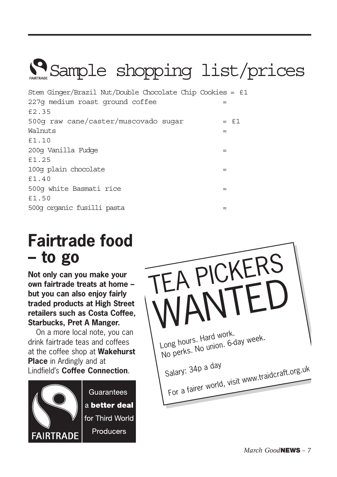

Stem Ginger/Brazil Nut/Double Chocolate Chip Cookies = £1 227g medium roast ground coffee = £2.35  $500q$  raw cane/caster/muscovado sugar =  $£1$ Walnuts = £1.10 200g Vanilla Fudge = £1.25 100g plain chocolate = £1.40 500g white Basmati rice = £1.50 500g organic fusilli pasta =

### **Fairtrade food – to go**

**Not only can you make your own fairtrade treats at home – but you can also enjoy fairly traded products at High Street retailers such as Costa Coffee, Starbucks, Pret A Manger.** 

On a more local note, you can drink fairtrade teas and coffees at the coffee shop at **Wakehurst Place** in Ardingly and at Lindfield's **Coffee Connection**.



Guarantees a better deal for Third World Producers

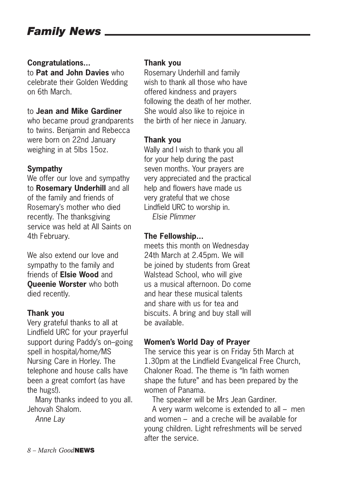### *Family News*

#### **Congratulations...**

to **Pat and John Davies** who celebrate their Golden Wedding on 6th March.

#### to **Jean and Mike Gardiner**

who became proud grandparents to twins. Benjamin and Rebecca were born on 22nd January weighing in at 5lbs 15oz.

#### **Sympathy**

We offer our love and sympathy to **Rosemary Underhill** and all of the family and friends of Rosemary's mother who died recently. The thanksgiving service was held at All Saints on 4th February.

We also extend our love and sympathy to the family and friends of **Elsie Wood** and **Queenie Worster** who both died recently.

#### **Thank you**

Very grateful thanks to all at Lindfield URC for your prayerful support during Paddy's on–going spell in hospital/home/MS Nursing Care in Horley. The telephone and house calls have been a great comfort (as have the hugs!).

Many thanks indeed to you all. Jehovah Shalom.

*Anne Lay*

#### **Thank you**

Rosemary Underhill and family wish to thank all those who have offered kindness and prayers following the death of her mother. She would also like to rejoice in the birth of her niece in January.

#### **Thank you**

Wally and I wish to thank you all for your help during the past seven months. Your prayers are very appreciated and the practical help and flowers have made us very grateful that we chose Lindfield URC to worship in. *Elsie Plimmer*

### **The Fellowship...**

meets this month on Wednesday 24th March at 2.45pm. We will be joined by students from Great Walstead School, who will give us a musical afternoon. Do come and hear these musical talents and share with us for tea and biscuits. A bring and buy stall will be available.

#### **Women's World Day of Prayer**

The service this year is on Friday 5th March at 1.30pm at the Lindfield Evangelical Free Church, Chaloner Road. The theme is "In faith women shape the future" and has been prepared by the women of Panama.

The speaker will be Mrs Jean Gardiner.

A very warm welcome is extended to all – men and women – and a creche will be available for young children. Light refreshments will be served after the service.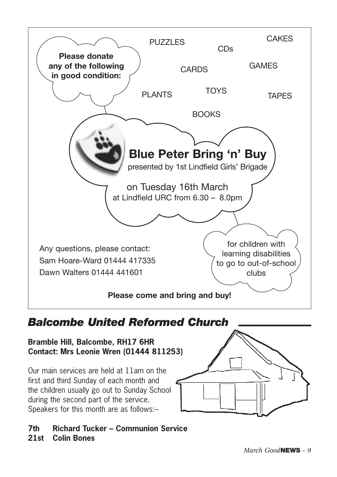

### *Balcombe United Reformed Church*

**Bramble Hill, Balcombe, RH17 6HR Contact: Mrs Leonie Wren (01444 811253)**

Our main services are held at 11am on the first and third Sunday of each month and the children usually go out to Sunday School during the second part of the service. Speakers for this month are as follows:–

**7th Richard Tucker – Communion Service 21st Colin Bones**

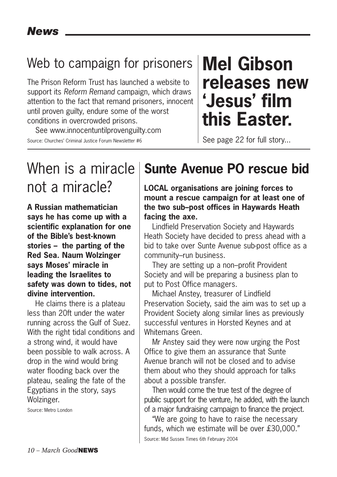### Web to campaign for prisoners

The Prison Reform Trust has launched a website to support its *Reform Remand* campaign, which draws attention to the fact that remand prisoners, innocent until proven guilty, endure some of the worst conditions in overcrowded prisons.

See www.innocentuntilprovenguilty.com Source: Churches' Criminal Justice Forum Newsletter #6

### **Mel Gibson releases new 'Jesus' film this Easter.**

See page 22 for full story...

### When is a miracle not a miracle?

**A Russian mathematician says he has come up with a scientific explanation for one of the Bible's best-known stories – the parting of the Red Sea. Naum Wolzinger says Moses' miracle in leading the Israelites to safety was down to tides, not divine intervention.** 

He claims there is a plateau less than 20ft under the water running across the Gulf of Suez. With the right tidal conditions and a strong wind, it would have been possible to walk across. A drop in the wind would bring water flooding back over the plateau, sealing the fate of the Egyptians in the story, says Wolzinger.

Source: Metro London

### **Sunte Avenue PO rescue bid**

**LOCAL organisations are joining forces to mount a rescue campaign for at least one of the two sub–post offices in Haywards Heath facing the axe.**

Lindfield Preservation Society and Haywards Heath Society have decided to press ahead with a bid to take over Sunte Avenue sub-post office as a community–run business.

They are setting up a non–profit Provident Society and will be preparing a business plan to put to Post Office managers.

Michael Anstey, treasurer of Lindfield Preservation Society, said the aim was to set up a Provident Society along similar lines as previously successful ventures in Horsted Keynes and at Whitemans Green.

Mr Anstey said they were now urging the Post Office to give them an assurance that Sunte Avenue branch will not be closed and to advise them about who they should approach for talks about a possible transfer.

Then would come the true test of the degree of public support for the venture, he added, with the launch of a major fundraising campaign to finance the project.

"We are going to have to raise the necessary funds, which we estimate will be over £30,000."

Source: Mid Sussex Times 6th February 2004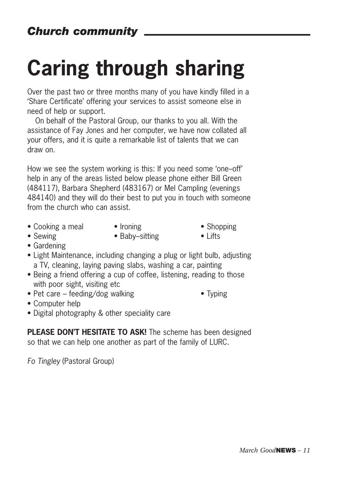# **Caring through sharing**

Over the past two or three months many of you have kindly filled in a 'Share Certificate' offering your services to assist someone else in need of help or support.

On behalf of the Pastoral Group, our thanks to you all. With the assistance of Fay Jones and her computer, we have now collated all your offers, and it is quite a remarkable list of talents that we can draw on.

How we see the system working is this: If you need some 'one–off' help in any of the areas listed below please phone either Bill Green (484117), Barbara Shepherd (483167) or Mel Campling (evenings 484140) and they will do their best to put you in touch with someone from the church who can assist.

- Cooking a meal Ironing Shopping
- 
- 
- Sewing Baby–sitting Lifts
- 

- Gardening
- Light Maintenance, including changing a plug or light bulb, adjusting a TV, cleaning, laying paving slabs, washing a car, painting
- Being a friend offering a cup of coffee, listening, reading to those with poor sight, visiting etc
- Pet care feeding/dog walking Typing
- 
- Computer help
- Digital photography & other speciality care

**PLEASE DON'T HESITATE TO ASK!** The scheme has been designed so that we can help one another as part of the family of LURC.

*Fo Tingley* (Pastoral Group)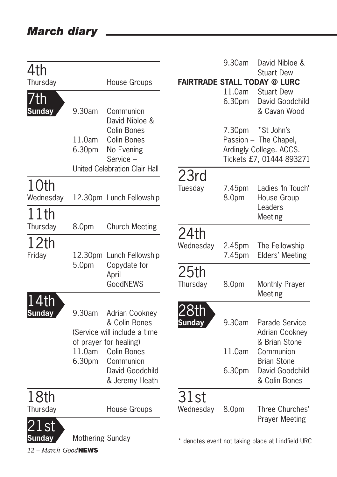|               |                   |                                   |               | 9.30am | David Nibloe &                                    |
|---------------|-------------------|-----------------------------------|---------------|--------|---------------------------------------------------|
| 4th           |                   |                                   |               |        | <b>Stuart Dew</b>                                 |
| Thursday      |                   | House Groups                      |               |        | <b>FAIRTRADE STALL TODAY @ LURC</b>               |
| 7th           |                   |                                   |               | 11.0am | <b>Stuart Dew</b><br>David Goodchild              |
| <b>Sunday</b> | 9.30am            | Communion                         |               | 6.30pm | & Cavan Wood                                      |
|               |                   | David Nibloe &                    |               |        |                                                   |
|               |                   | Colin Bones                       |               | 7.30pm | *St John's                                        |
|               | 11.0am            | Colin Bones                       |               |        | Passion - The Chapel,                             |
|               | 6.30pm            | No Evening                        |               |        | Ardingly College. ACCS.                           |
|               |                   | Service -                         |               |        | Tickets £7, 01444 893271                          |
|               |                   | United Celebration Clair Hall     | 23rd          |        |                                                   |
| 10th          |                   |                                   | Tuesday       | 7.45pm | Ladies 'In Touch'                                 |
| Wednesday     |                   | 12.30pm Lunch Fellowship          |               | 8.0pm  | House Group                                       |
|               |                   |                                   |               |        | Leaders                                           |
| 11th          |                   |                                   |               |        | Meeting                                           |
| Thursday      | 8.0pm             | <b>Church Meeting</b>             | 24th          |        |                                                   |
| 12th          |                   |                                   | Wednesday     | 2.45pm | The Fellowship                                    |
| Friday        |                   | 12.30pm Lunch Fellowship          |               | 7.45pm | Elders' Meeting                                   |
|               | 5.0 <sub>pm</sub> | Copydate for                      |               |        |                                                   |
|               |                   | April                             | 25th          |        |                                                   |
|               |                   | GoodNEWS                          | Thursday      | 8.0pm  | Monthly Prayer                                    |
| .4th          |                   |                                   |               |        | Meeting                                           |
| <b>Sunday</b> | 9.30am            | Adrian Cookney                    | <u>28th</u>   |        |                                                   |
|               |                   | & Colin Bones                     | <b>Sunday</b> | 9.30am | Parade Service                                    |
|               |                   | (Service will include a time      |               |        | <b>Adrian Cookney</b>                             |
|               |                   | of prayer for healing)            |               |        | & Brian Stone                                     |
|               | 11.0am            | Colin Bones                       |               | 11.0am | Communion                                         |
|               | 6.30pm            | Communion                         |               |        | <b>Brian Stone</b>                                |
|               |                   | David Goodchild<br>& Jeremy Heath |               | 6.30pm | David Goodchild<br>& Colin Bones                  |
|               |                   |                                   |               |        |                                                   |
| 18th          |                   |                                   | 31st          |        |                                                   |
| Thursday      |                   | House Groups                      | Wednesday     | 8.0pm  | Three Churches'                                   |
|               |                   |                                   |               |        | <b>Prayer Meeting</b>                             |
|               |                   |                                   |               |        |                                                   |
| <b>Sunday</b> | Mothering Sunday  |                                   |               |        | * denotes event not taking place at Lindfield URC |

*12 – March Good***NEWS**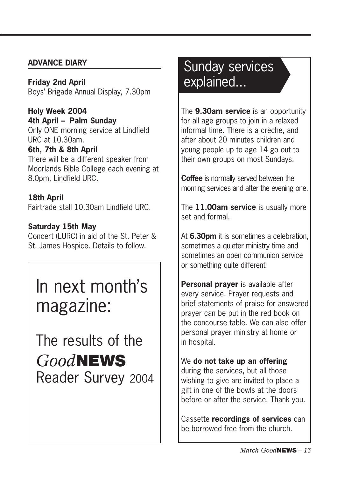### **ADVANCE DIARY**

**Friday 2nd April** Boys' Brigade Annual Display, 7.30pm

**Holy Week 2004 4th April – Palm Sunday** Only ONE morning service at Lindfield URC at 10.30am.

### **6th, 7th & 8th April**

There will be a different speaker from Moorlands Bible College each evening at 8.0pm, Lindfield URC.

### **18th April**

Fairtrade stall 10.30am Lindfield URC.

### **Saturday 15th May**

Concert (LURC) in aid of the St. Peter & St. James Hospice. Details to follow.

### In next month's magazine:

*Good***NEWS** Reader Survey 2004 The results of the

### Sunday services explained...

The **9.30am service** is an opportunity for all age groups to join in a relaxed informal time. There is a crèche, and after about 20 minutes children and young people up to age 14 go out to their own groups on most Sundays.

**Coffee** is normally served between the morning services and after the evening one.

The **11.00am service** is usually more set and formal.

At **6.30pm** it is sometimes a celebration, sometimes a quieter ministry time and sometimes an open communion service or something quite different!

**Personal prayer** is available after every service. Prayer requests and brief statements of praise for answered prayer can be put in the red book on the concourse table. We can also offer personal prayer ministry at home or in hospital.

We **do not take up an offering** during the services, but all those wishing to give are invited to place a gift in one of the bowls at the doors before or after the service. Thank you.

Cassette **recordings of services** can be borrowed free from the church.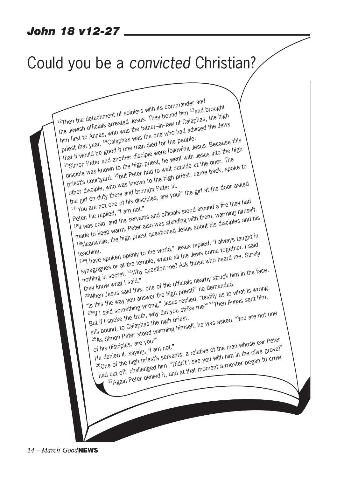### *John 18 v12-27*

### Could you be a *convicted* Christian?

12Then the detachment of soldiers with its commander and<br>12Then the detachment of soldiers with its bay of Caiaphas Then the detachment of soldiers with its commands.<br>Then the detachment of soldiers. They bound him 13 and brought<br>the Jewish officials arrested Jesus. They bound had advised the Jev Then the detachment of Sulaisus. They bound  $\frac{m}{n}$ <br>the Jewish officials arrested Jesus. They bound mill caiaphas, the high<br>him first to Annas, who was the one who had advised the Jews<br>him first to Lugar 14 Caiaphas was priest that year. <sup>14</sup>Caiaphas was the one who had advised the Jews<br>that it would be good if one man died for the people. im first to minus. <sup>14</sup>Caiaphas was the one<br>priest that year. <sup>14</sup>Caiaphas was the one following Jesus. Because this<br>that it would be good if one man died for the people.<br>15 simon Peter and another disciple were went with discribe was known to the high priest, he went with Jesus into the high<br>5Simon Peter and another disciple were following Jesus into the high<br>6Simon Peter and another high priest, he wait outside at the door. The<br>disciple w priest's courtyard, <sup>16</sup>but Peter had to wait outside at the door. The priest's courtyard, <sup>16</sup>but Peter had to wait outside at the door. The other disciple, who was known to the high priest, came back, spoke the girl on d other disciple, who was known to the high priest, came back, spoke to The girl on duty there and brought Peter in.<br>
the girl on duty there and brought Peter in.<br>
17"You are not one of his disciples, are you?" the girl at the door asked<br>
17"You are not one of his disciples, are you?" the girl The girl of our one of his disciples, and officials stood around a fire they had<br>Peter. He replied, "I am not."<br>18th was cold, and the servants and officials stood around a fire they had<br>18th was cold, and the peter also w Peter. He replied, "I am live.<br>18th was cold, and the servants and officials stood around a tire triey lied.<br>18th was cold, and the servants also was standing with them, warming himself.<br>1 made to keep warm. Peter also was eter. He reparts and the servants and one that then, want then was cold, and the servants and was standing with them, want of the high priest questioned Jesus about his disciples and his made to keep warm. Peter also was s hade to Roor<br>
I always taught in eaching.<br>
19 Meaning. eaching. The world, "Jesus replied. "I always taught in eaching.<br>
2011 have spoken openly to the world," Jesus replied. "I always taught in eaching. Meanwine, and the world," Jesus replied. I allowed the aching.<br>
Out have spoken openly to the world," Jesus come together. I said<br>
synagogues or at the temple, where all the Jews come heard me. Surely<br>
synagogues or at the Sumplementary of the officials nearby struck him in the fact they know what I said."<br>
They know what I said."<br>
22When Jesus said this, one of the officials nearby struck him in the fact the same said this, one of the offic ynagogues<br>
nothing in secret. 21 Why question in:<br>
they know what I said."<br>
22 When Jesus said this, one of the officials nearby struck him in the face.<br>
22 When Jesus said and sext the high priest?" he demanded. ney know what I salu.<br>"When Jesus said this, one of the officials low the demanded."<br>"Is this the way you answer the high priest?" he demanded.<br>"Is this the way whing wrong," Jesus religio me?" 24Then Ann ey know...<br>"When Jesus said this, one of the high priest?" he definances what is wrong."<br>"Is this the way you answer the high priest?" he definance of what is wrong."<br>23"If I said something wrong," Jesus replied, "testify But if I spoke the truth, why did you strike me?" 24Then Annas sent him,<br>But if I spoke the truth, why did you strike me?" 24Then Annas sent him,<br>still bound, to Caiaphas the high priest. y as to<br>Then Annas sent him,  $\frac{3}{10}$  if I salu 3...<br>
3ut if I spoke the truth, why div you can<br>
still bound, to Caiaphas the high priest.<br>
25As Simon Peter stood warming himself, he was asked, "You are not one<br>
25As Simon Peter stood warming himse of his disciples, are you?"<br>He denied it, saying, "I am not." % Situatives, are you?"<br>
This disciples, are you?"<br>
He denied it, saying, "I am not."<br>
26One of the high priest's servants, a relative of the man whose ear Peter<br>
26One of the high priest's servants, a relative of the high had cut off, challenged him, "Didn't I see you with him in the olive grove?" e of the high priest's servation.<br>
e of the high priest's servation, "Didn't I see you with fill it in the high priest's servation."<br>
cut off, challenged it, and at that moment a rooster began to crow.

*14 – March Good***NEWS**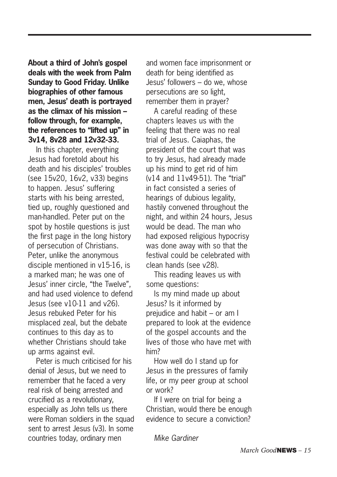**About a third of John's gospel deals with the week from Palm Sunday to Good Friday. Unlike biographies of other famous men, Jesus' death is portrayed as the climax of his mission – follow through, for example, the references to "lifted up" in 3v14, 8v28 and 12v32-33.** 

In this chapter, everything Jesus had foretold about his death and his disciples' troubles (see 15v20, 16v2, v33) begins to happen. Jesus' suffering starts with his being arrested, tied up, roughly questioned and man-handled. Peter put on the spot by hostile questions is just the first page in the long history of persecution of Christians. Peter, unlike the anonymous disciple mentioned in v15-16, is a marked man; he was one of Jesus' inner circle, "the Twelve", and had used violence to defend Jesus (see v10-11 and v26). Jesus rebuked Peter for his misplaced zeal, but the debate continues to this day as to whether Christians should take up arms against evil.

Peter is much criticised for his denial of Jesus, but we need to remember that he faced a very real risk of being arrested and crucified as a revolutionary, especially as John tells us there were Roman soldiers in the squad sent to arrest Jesus (v3). In some countries today, ordinary men

and women face imprisonment or death for being identified as Jesus' followers – do we, whose persecutions are so light, remember them in prayer?

A careful reading of these chapters leaves us with the feeling that there was no real trial of Jesus. Caiaphas, the president of the court that was to try Jesus, had already made up his mind to get rid of him (v14 and 11v49-51). The "trial" in fact consisted a series of hearings of dubious legality, hastily convened throughout the night, and within 24 hours, Jesus would be dead. The man who had exposed religious hypocrisy was done away with so that the festival could be celebrated with clean hands (see v28).

This reading leaves us with some questions:

Is my mind made up about Jesus? Is it informed by prejudice and habit – or am I prepared to look at the evidence of the gospel accounts and the lives of those who have met with him?

How well do I stand up for Jesus in the pressures of family life, or my peer group at school or work?

If I were on trial for being a Christian, would there be enough evidence to secure a conviction?

*Mike Gardiner*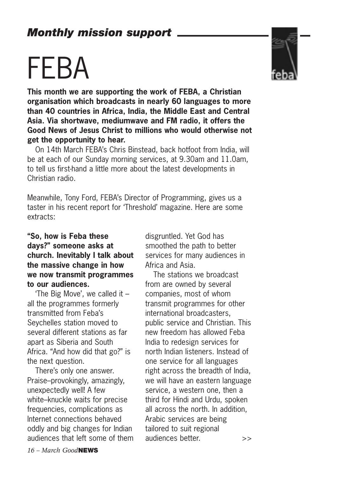# FEBA

**This month we are supporting the work of FEBA, a Christian organisation which broadcasts in nearly 60 languages to more than 40 countries in Africa, India, the Middle East and Central Asia. Via shortwave, mediumwave and FM radio, it offers the Good News of Jesus Christ to millions who would otherwise not get the opportunity to hear.**

On 14th March FEBA's Chris Binstead, back hotfoot from India, will be at each of our Sunday morning services, at 9.30am and 11.0am, to tell us first-hand a little more about the latest developments in Christian radio.

Meanwhile, Tony Ford, FEBA's Director of Programming, gives us a taster in his recent report for 'Threshold' magazine. Here are some extracts:

### **"So, how is Feba these days?" someone asks at church. Inevitably I talk about the massive change in how we now transmit programmes to our audiences.**

'The Big Move', we called it – all the programmes formerly transmitted from Feba's Seychelles station moved to several different stations as far apart as Siberia and South Africa. "And how did that go?" is the next question.

There's only one answer. Praise–provokingly, amazingly, unexpectedly well! A few white–knuckle waits for precise frequencies, complications as Internet connections behaved oddly and big changes for Indian audiences that left some of them disgruntled. Yet God has smoothed the path to better services for many audiences in Africa and Asia.

The stations we broadcast from are owned by several companies, most of whom transmit programmes for other international broadcasters, public service and Christian. This new freedom has allowed Feba India to redesign services for north Indian listeners. Instead of one service for all languages right across the breadth of India, we will have an eastern language service, a western one, then a third for Hindi and Urdu, spoken all across the north. In addition, Arabic services are being tailored to suit regional audiences better. >>

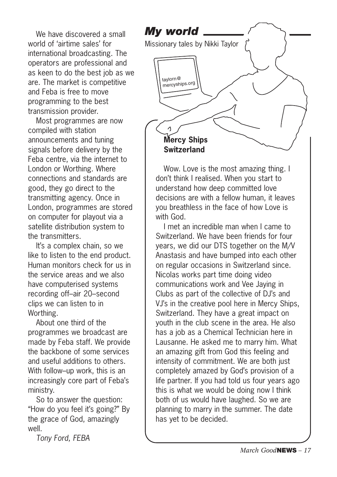We have discovered a small world of 'airtime sales' for international broadcasting. The operators are professional and as keen to do the best job as we are. The market is competitive and Feba is free to move programming to the best transmission provider.

Most programmes are now compiled with station announcements and tuning signals before delivery by the Feba centre, via the internet to London or Worthing. Where connections and standards are good, they go direct to the transmitting agency. Once in London, programmes are stored on computer for playout via a satellite distribution system to the transmitters.

It's a complex chain, so we like to listen to the end product. Human monitors check for us in the service areas and we also have computerised systems recording off–air 20–second clips we can listen to in Worthing.

About one third of the programmes we broadcast are made by Feba staff. We provide the backbone of some services and useful additions to others. With follow–up work, this is an increasingly core part of Feba's ministry.

So to answer the question: "How do you feel it's going?" By the grace of God, amazingly well.

*Tony Ford, FEBA*



Wow. Love is the most amazing thing. I don't think I realised. When you start to understand how deep committed love decisions are with a fellow human, it leaves you breathless in the face of how Love is with God.

I met an incredible man when I came to Switzerland. We have been friends for four years, we did our DTS together on the M/V Anastasis and have bumped into each other on regular occasions in Switzerland since. Nicolas works part time doing video communications work and Vee Jaying in Clubs as part of the collective of DJ's and VJ's in the creative pool here in Mercy Ships, Switzerland. They have a great impact on youth in the club scene in the area. He also has a job as a Chemical Technician here in Lausanne. He asked me to marry him. What an amazing gift from God this feeling and intensity of commitment. We are both just completely amazed by God's provision of a life partner. If you had told us four years ago this is what we would be doing now I think both of us would have laughed. So we are planning to marry in the summer. The date has yet to be decided.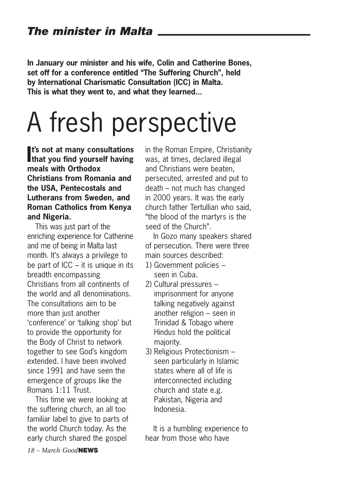**In January our minister and his wife, Colin and Catherine Bones, set off for a conference entitled "The Suffering Church", held by International Charismatic Consultation (ICC) in Malta. This is what they went to, and what they learned...**

# A fresh perspective

**I**<sup>t's</sup> not at many consultations<br>
that you find yourself having **t's not at many consultations meals with Orthodox Christians from Romania and the USA, Pentecostals and Lutherans from Sweden, and Roman Catholics from Kenya and Nigeria.** 

This was just part of the enriching experience for Catherine and me of being in Malta last month. It's always a privilege to be part of  $ICC - it$  is unique in its breadth encompassing Christians from all continents of the world and all denominations. The consultations aim to be more than just another 'conference' or 'talking shop' but to provide the opportunity for the Body of Christ to network together to see God's kingdom extended. I have been involved since 1991 and have seen the emergence of groups like the Romans 1:11 Trust.

This time we were looking at the suffering church, an all too familiar label to give to parts of the world Church today. As the early church shared the gospel

in the Roman Empire, Christianity was, at times, declared illegal and Christians were beaten, persecuted, arrested and put to death – not much has changed in 2000 years. It was the early church father Tertullian who said, "the blood of the martyrs is the seed of the Church".

In Gozo many speakers shared of persecution. There were three main sources described:

- 1) Government policies seen in Cuba.
- 2) Cultural pressures imprisonment for anyone talking negatively against another religion – seen in Trinidad & Tobago where Hindus hold the political majority.
- 3) Religious Protectionism seen particularly in Islamic states where all of life is interconnected including church and state e.g. Pakistan, Nigeria and Indonesia.

It is a humbling experience to hear from those who have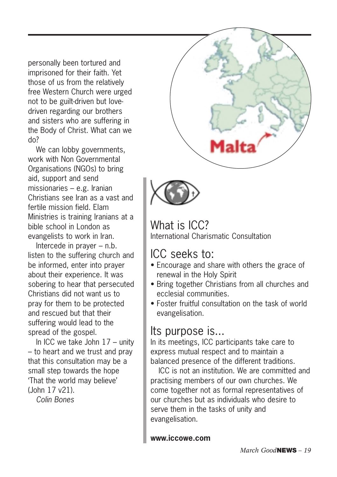personally been tortured and imprisoned for their faith. Yet those of us from the relatively free Western Church were urged not to be guilt-driven but lovedriven regarding our brothers and sisters who are suffering in the Body of Christ. What can we do?

We can lobby governments, work with Non Governmental Organisations (NGOs) to bring aid, support and send missionaries – e.g. Iranian Christians see Iran as a vast and fertile mission field. Elam Ministries is training Iranians at a bible school in London as evangelists to work in Iran.

Intercede in prayer – n.b. listen to the suffering church and be informed, enter into prayer about their experience. It was sobering to hear that persecuted Christians did not want us to pray for them to be protected and rescued but that their suffering would lead to the spread of the gospel.

In ICC we take John 17 – unity – to heart and we trust and pray that this consultation may be a small step towards the hope 'That the world may believe' (John 17 v21).

*Colin Bones*





What is ICC? International Charismatic Consultation

### ICC seeks to:

- Encourage and share with others the grace of renewal in the Holy Spirit
- Bring together Christians from all churches and ecclesial communities.
- Foster fruitful consultation on the task of world evangelisation.

### Its purpose is...

In its meetings, ICC participants take care to express mutual respect and to maintain a balanced presence of the different traditions.

ICC is not an institution. We are committed and practising members of our own churches. We come together not as formal representatives of our churches but as individuals who desire to serve them in the tasks of unity and evangelisation.

**www.iccowe.com**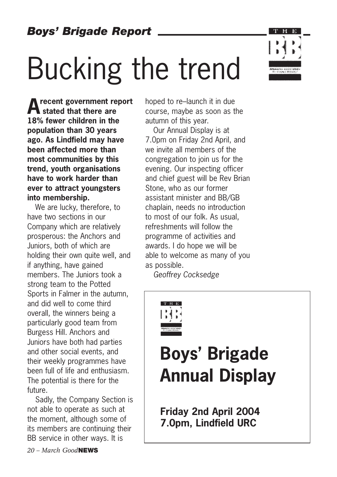# Bucking the trend

**Arecent government report stated that there are 18% fewer children in the population than 30 years ago. As Lindfield may have been affected more than most communities by this trend, youth organisations have to work harder than ever to attract youngsters into membership.** 

We are lucky, therefore, to have two sections in our Company which are relatively prosperous: the Anchors and Juniors, both of which are holding their own quite well, and if anything, have gained members. The Juniors took a strong team to the Potted Sports in Falmer in the autumn, and did well to come third overall, the winners being a particularly good team from Burgess Hill. Anchors and Juniors have both had parties and other social events, and their weekly programmes have been full of life and enthusiasm. The potential is there for the future.

Sadly, the Company Section is not able to operate as such at the moment, although some of its members are continuing their BB service in other ways. It is

hoped to re–launch it in due course, maybe as soon as the autumn of this year.

Our Annual Display is at 7.0pm on Friday 2nd April, and we invite all members of the congregation to join us for the evening. Our inspecting officer and chief guest will be Rev Brian Stone, who as our former assistant minister and BB/GB chaplain, needs no introduction to most of our folk. As usual, refreshments will follow the programme of activities and awards. I do hope we will be able to welcome as many of you as possible.

*Geoffrey Cocksedge*



### **Boys' Brigade Annual Display**

**Friday 2nd April 2004 7.0pm, Lindfield URC**

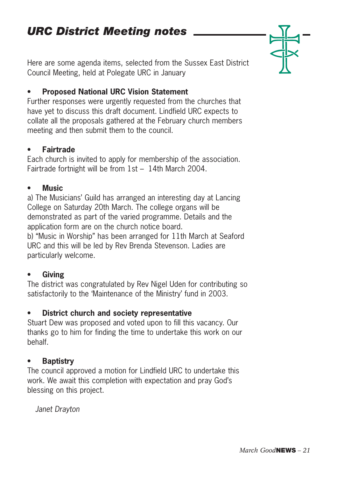Here are some agenda items, selected from the Sussex East District Council Meeting, held at Polegate URC in January

### **• Proposed National URC Vision Statement**

Further responses were urgently requested from the churches that have yet to discuss this draft document. Lindfield URC expects to collate all the proposals gathered at the February church members meeting and then submit them to the council.

### **• Fairtrade**

Each church is invited to apply for membership of the association. Fairtrade fortnight will be from 1st – 14th March 2004.

### **• Music**

a) The Musicians' Guild has arranged an interesting day at Lancing College on Saturday 20th March. The college organs will be demonstrated as part of the varied programme. Details and the application form are on the church notice board. b) "Music in Worship" has been arranged for 11th March at Seaford

URC and this will be led by Rev Brenda Stevenson. Ladies are particularly welcome.

### **• Giving**

The district was congratulated by Rev Nigel Uden for contributing so satisfactorily to the 'Maintenance of the Ministry' fund in 2003.

### **• District church and society representative**

Stuart Dew was proposed and voted upon to fill this vacancy. Our thanks go to him for finding the time to undertake this work on our behalf.

### **• Baptistry**

The council approved a motion for Lindfield URC to undertake this work. We await this completion with expectation and pray God's blessing on this project.

*Janet Drayton*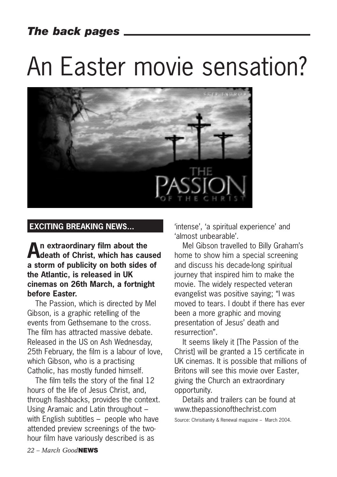### *The back pages*

# An Easter movie sensation?



### **EXCITING BREAKING NEWS...**

**An extraordinary film about the death of Christ, which has caused a storm of publicity on both sides of the Atlantic, is released in UK cinemas on 26th March, a fortnight before Easter.** 

The Passion, which is directed by Mel Gibson, is a graphic retelling of the events from Gethsemane to the cross. The film has attracted massive debate. Released in the US on Ash Wednesday, 25th February, the film is a labour of love, which Gibson, who is a practising Catholic, has mostly funded himself.

The film tells the story of the final 12 hours of the life of Jesus Christ, and, through flashbacks, provides the context. Using Aramaic and Latin throughout – with English subtitles – people who have attended preview screenings of the twohour film have variously described is as

'intense', 'a spiritual experience' and 'almost unbearable'.

Mel Gibson travelled to Billy Graham's home to show him a special screening and discuss his decade-long spiritual journey that inspired him to make the movie. The widely respected veteran evangelist was positive saying; "I was moved to tears. I doubt if there has ever been a more graphic and moving presentation of Jesus' death and resurrection".

It seems likely it [The Passion of the Christ] will be granted a 15 certificate in UK cinemas. It is possible that millions of Britons will see this movie over Easter, giving the Church an extraordinary opportunity.

Details and trailers can be found at www.thepassionofthechrist.com

Source: Chrisitianity & Renewal magazine – March 2004.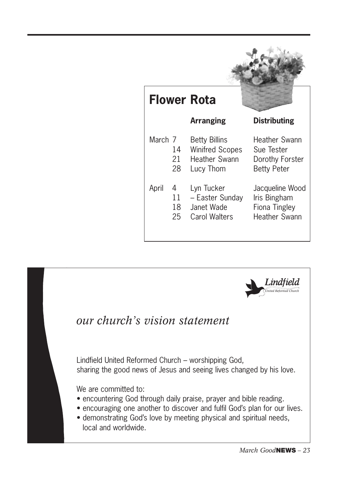|         |                     | <b>Flower Rota</b>                                                                  |                                                                          |
|---------|---------------------|-------------------------------------------------------------------------------------|--------------------------------------------------------------------------|
|         |                     | <b>Arranging</b>                                                                    | <b>Distributing</b>                                                      |
| March 7 | 14<br>21.<br>28     | <b>Betty Billins</b><br><b>Winifred Scopes</b><br><b>Heather Swann</b><br>Lucy Thom | Heather Swann<br>Sue Tester<br>Dorothy Forster<br><b>Betty Peter</b>     |
| April   | 4<br>11<br>18<br>25 | Lyn Tucker<br>- Easter Sunday<br>Janet Wade<br>Carol Walters                        | Jacqueline Wood<br>Iris Bingham<br><b>Fiona Tingley</b><br>Heather Swann |